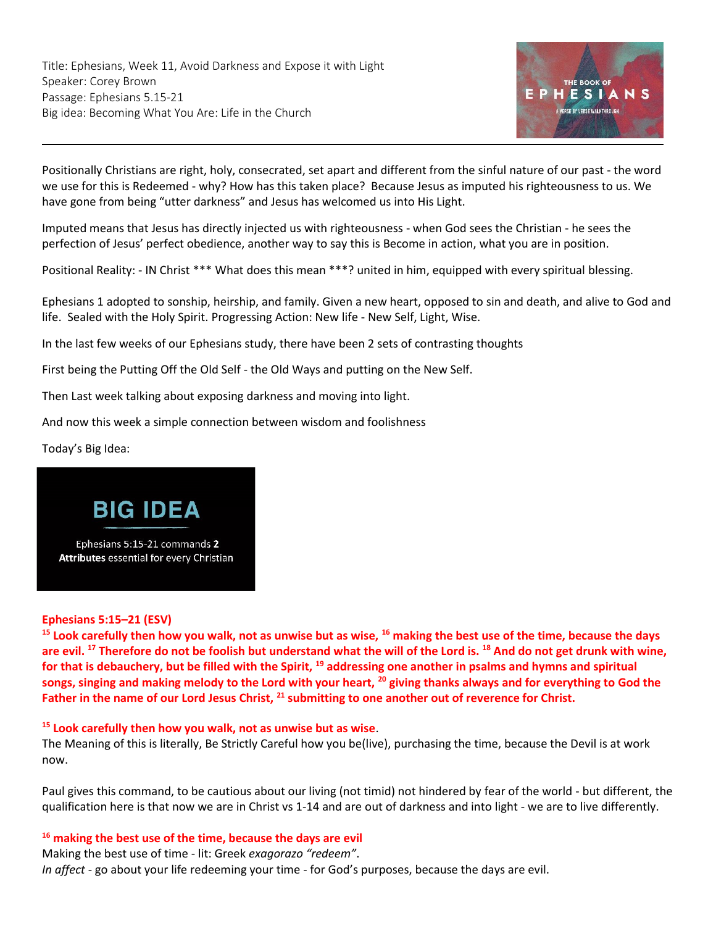Title: Ephesians, Week 11, Avoid Darkness and Expose it with Light Speaker: Corey Brown Passage: Ephesians 5.15-21 Big idea: Becoming What You Are: Life in the Church



Positionally Christians are right, holy, consecrated, set apart and different from the sinful nature of our past - the word we use for this is Redeemed - why? How has this taken place? Because Jesus as imputed his righteousness to us. We have gone from being "utter darkness" and Jesus has welcomed us into His Light.

Imputed means that Jesus has directly injected us with righteousness - when God sees the Christian - he sees the perfection of Jesus' perfect obedience, another way to say this is Become in action, what you are in position.

Positional Reality: - IN Christ \*\*\* What does this mean \*\*\*? united in him, equipped with every spiritual blessing.

Ephesians 1 adopted to sonship, heirship, and family. Given a new heart, opposed to sin and death, and alive to God and life. Sealed with the Holy Spirit. Progressing Action: New life - New Self, Light, Wise.

In the last few weeks of our Ephesians study, there have been 2 sets of contrasting thoughts

First being the Putting Off the Old Self - the Old Ways and putting on the New Self.

Then Last week talking about exposing darkness and moving into light.

And now this week a simple connection between wisdom and foolishness

Today's Big Idea:



Ephesians 5:15-21 commands 2 Attributes essential for every Christian

#### **[Ephesians 5:15](https://ref.ly/logosref/BibleESV.Eph5.15-21)–21 (ESV)**

**<sup>15</sup> Look carefully then how you walk, not as unwise but as wise, <sup>16</sup> making the best use of the time, because the days are evil. <sup>17</sup> Therefore do not be foolish but understand what the will of the Lord is. <sup>18</sup> And do not get drunk with wine, for that is debauchery, but be filled with the Spirit, <sup>19</sup> addressing one another in psalms and hymns and spiritual songs, singing and making melody to the Lord with your heart, <sup>20</sup> giving thanks always and for everything to God the Father in the name of our Lord Jesus Christ, <sup>21</sup> submitting to one another out of reverence for Christ.**

## **<sup>15</sup> Look carefully then how you walk, not as unwise but as wise**.

The Meaning of this is literally, Be Strictly Careful how you be(live), purchasing the time, because the Devil is at work now.

Paul gives this command, to be cautious about our living (not timid) not hindered by fear of the world - but different, the qualification here is that now we are in Christ vs 1-14 and are out of darkness and into light - we are to live differently.

**<sup>16</sup> making the best use of the time, because the days are evil**

Making the best use of time - lit: Greek *exagorazo "redeem"*. *In affect* - go about your life redeeming your time - for God's purposes, because the days are evil.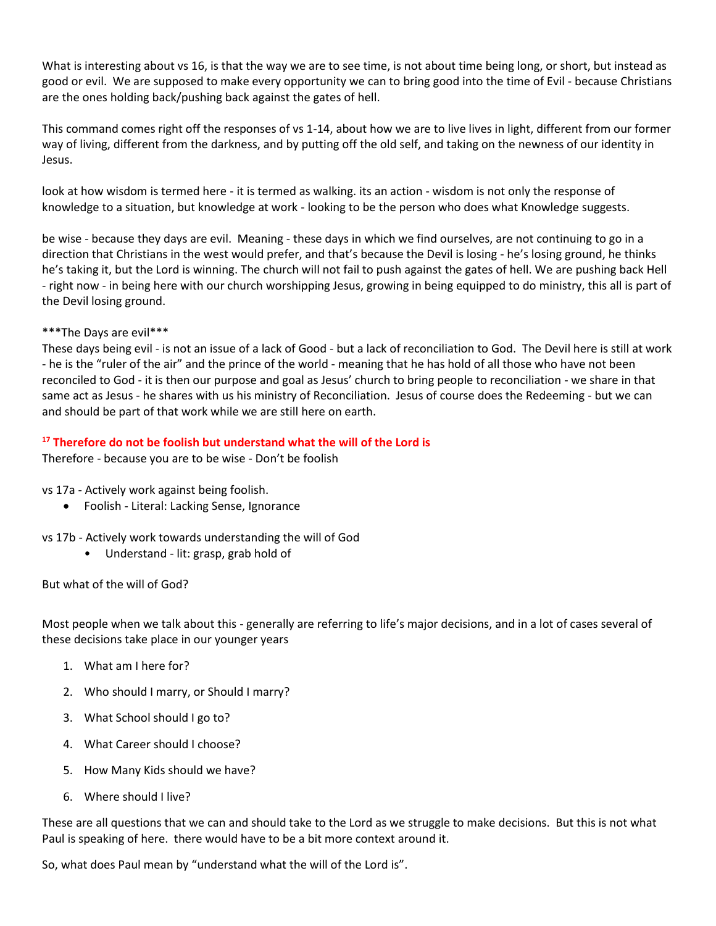What is interesting about vs 16, is that the way we are to see time, is not about time being long, or short, but instead as good or evil. We are supposed to make every opportunity we can to bring good into the time of Evil - because Christians are the ones holding back/pushing back against the gates of hell.

This command comes right off the responses of vs 1-14, about how we are to live lives in light, different from our former way of living, different from the darkness, and by putting off the old self, and taking on the newness of our identity in Jesus.

look at how wisdom is termed here - it is termed as walking. its an action - wisdom is not only the response of knowledge to a situation, but knowledge at work - looking to be the person who does what Knowledge suggests.

be wise - because they days are evil. Meaning - these days in which we find ourselves, are not continuing to go in a direction that Christians in the west would prefer, and that's because the Devil is losing - he's losing ground, he thinks he's taking it, but the Lord is winning. The church will not fail to push against the gates of hell. We are pushing back Hell - right now - in being here with our church worshipping Jesus, growing in being equipped to do ministry, this all is part of the Devil losing ground.

#### \*\*\*The Days are evil\*\*\*

These days being evil - is not an issue of a lack of Good - but a lack of reconciliation to God. The Devil here is still at work - he is the "ruler of the air" and the prince of the world - meaning that he has hold of all those who have not been reconciled to God - it is then our purpose and goal as Jesus' church to bring people to reconciliation - we share in that same act as Jesus - he shares with us his ministry of Reconciliation. Jesus of course does the Redeeming - but we can and should be part of that work while we are still here on earth.

## **<sup>17</sup> Therefore do not be foolish but understand what the will of the Lord is**

Therefore - because you are to be wise - Don't be foolish

vs 17a - Actively work against being foolish.

- Foolish Literal: Lacking Sense, Ignorance
- vs 17b Actively work towards understanding the will of God
	- Understand lit: grasp, grab hold of

But what of the will of God?

Most people when we talk about this - generally are referring to life's major decisions, and in a lot of cases several of these decisions take place in our younger years

- 1. What am I here for?
- 2. Who should I marry, or Should I marry?
- 3. What School should I go to?
- 4. What Career should I choose?
- 5. How Many Kids should we have?
- 6. Where should I live?

These are all questions that we can and should take to the Lord as we struggle to make decisions. But this is not what Paul is speaking of here. there would have to be a bit more context around it.

So, what does Paul mean by "understand what the will of the Lord is".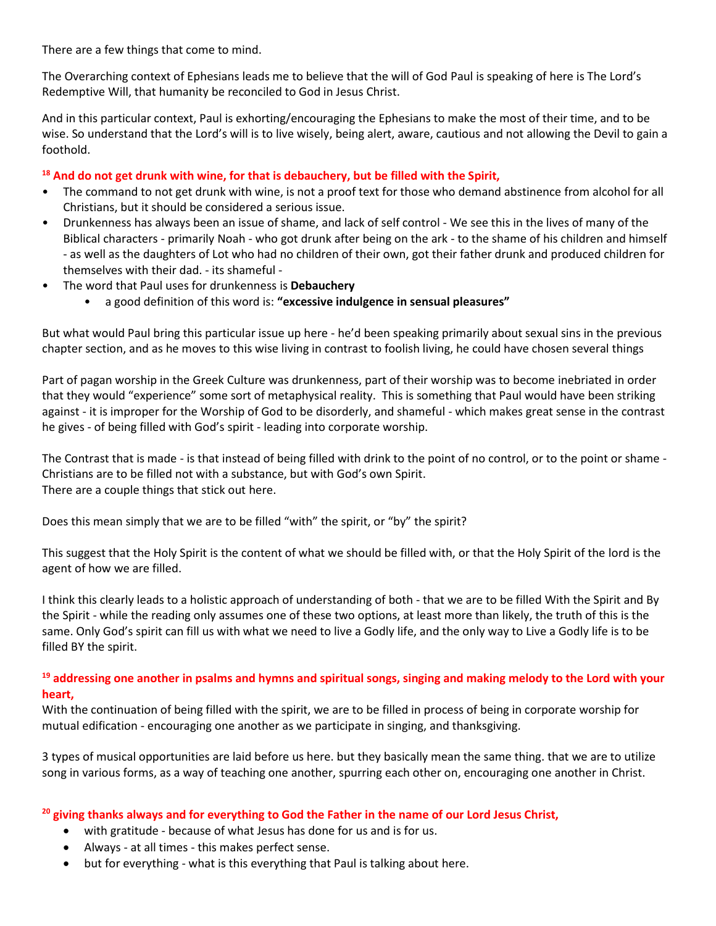There are a few things that come to mind.

The Overarching context of Ephesians leads me to believe that the will of God Paul is speaking of here is The Lord's Redemptive Will, that humanity be reconciled to God in Jesus Christ.

And in this particular context, Paul is exhorting/encouraging the Ephesians to make the most of their time, and to be wise. So understand that the Lord's will is to live wisely, being alert, aware, cautious and not allowing the Devil to gain a foothold.

#### **<sup>18</sup> And do not get drunk with wine, for that is debauchery, but be filled with the Spirit,**

- The command to not get drunk with wine, is not a proof text for those who demand abstinence from alcohol for all Christians, but it should be considered a serious issue.
- Drunkenness has always been an issue of shame, and lack of self control We see this in the lives of many of the Biblical characters - primarily Noah - who got drunk after being on the ark - to the shame of his children and himself - as well as the daughters of Lot who had no children of their own, got their father drunk and produced children for themselves with their dad. - its shameful -
- The word that Paul uses for drunkenness is **Debauchery**
	- a good definition of this word is: **"excessive indulgence in sensual pleasures"**

But what would Paul bring this particular issue up here - he'd been speaking primarily about sexual sins in the previous chapter section, and as he moves to this wise living in contrast to foolish living, he could have chosen several things

Part of pagan worship in the Greek Culture was drunkenness, part of their worship was to become inebriated in order that they would "experience" some sort of metaphysical reality. This is something that Paul would have been striking against - it is improper for the Worship of God to be disorderly, and shameful - which makes great sense in the contrast he gives - of being filled with God's spirit - leading into corporate worship.

The Contrast that is made - is that instead of being filled with drink to the point of no control, or to the point or shame - Christians are to be filled not with a substance, but with God's own Spirit. There are a couple things that stick out here.

Does this mean simply that we are to be filled "with" the spirit, or "by" the spirit?

This suggest that the Holy Spirit is the content of what we should be filled with, or that the Holy Spirit of the lord is the agent of how we are filled.

I think this clearly leads to a holistic approach of understanding of both - that we are to be filled With the Spirit and By the Spirit - while the reading only assumes one of these two options, at least more than likely, the truth of this is the same. Only God's spirit can fill us with what we need to live a Godly life, and the only way to Live a Godly life is to be filled BY the spirit.

## **<sup>19</sup> addressing one another in psalms and hymns and spiritual songs, singing and making melody to the Lord with your heart,**

With the continuation of being filled with the spirit, we are to be filled in process of being in corporate worship for mutual edification - encouraging one another as we participate in singing, and thanksgiving.

3 types of musical opportunities are laid before us here. but they basically mean the same thing. that we are to utilize song in various forms, as a way of teaching one another, spurring each other on, encouraging one another in Christ.

## **<sup>20</sup> giving thanks always and for everything to God the Father in the name of our Lord Jesus Christ,**

- with gratitude because of what Jesus has done for us and is for us.
- Always at all times this makes perfect sense.
- but for everything what is this everything that Paul is talking about here.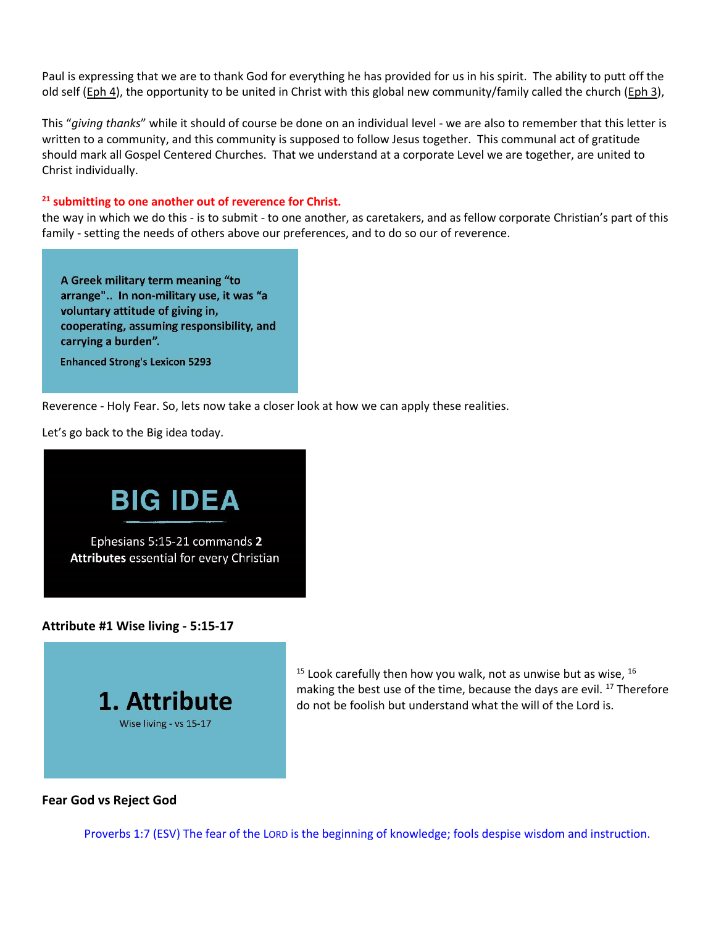Paul is expressing that we are to thank God for everything he has provided for us in his spirit. The ability to putt off the old self [\(Eph 4\)](https://ref.ly/logosref/BibleESV.Eph4), the opportunity to be united in Christ with this global new community/family called the church [\(Eph 3\)](https://ref.ly/logosref/BibleESV.Eph3),

This "*giving thanks*" while it should of course be done on an individual level - we are also to remember that this letter is written to a community, and this community is supposed to follow Jesus together. This communal act of gratitude should mark all Gospel Centered Churches. That we understand at a corporate Level we are together, are united to Christ individually.

#### **<sup>21</sup> submitting to one another out of reverence for Christ.**

the way in which we do this - is to submit - to one another, as caretakers, and as fellow corporate Christian's part of this family - setting the needs of others above our preferences, and to do so our of reverence.

A Greek military term meaning "to arrange".. In non-military use, it was "a voluntary attitude of giving in, cooperating, assuming responsibility, and carrying a burden".

**Enhanced Strong's Lexicon 5293** 

Reverence - Holy Fear. So, lets now take a closer look at how we can apply these realities.

Let's go back to the Big idea today.



**Attribute #1 Wise living - 5:15-17**



 $15$  Look carefully then how you walk, not as unwise but as wise,  $16$ making the best use of the time, because the days are evil.<sup>17</sup> Therefore do not be foolish but understand what the will of the Lord is.

## **Fear God vs Reject God**

[Proverbs 1:7](https://ref.ly/logosref/BibleESV.Pr1.7) (ESV) The fear of the LORD is the beginning of knowledge; fools despise wisdom and instruction.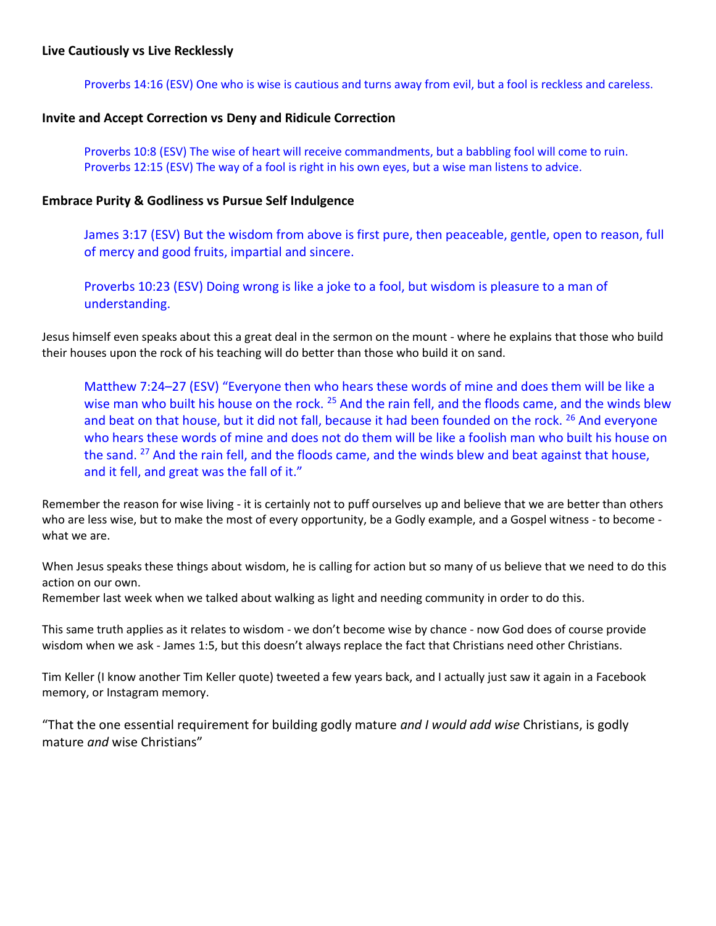[Proverbs 14:16](https://ref.ly/logosref/BibleESV.Pr14.16) (ESV) One who is wise is cautious and turns away from evil, but a fool is reckless and careless.

## **Invite and Accept Correction vs Deny and Ridicule Correction**

[Proverbs 10:8](https://ref.ly/logosref/BibleESV.Pr10.8) (ESV) The wise of heart will receive commandments, but a babbling fool will come to ruin. [Proverbs 12:15](https://ref.ly/logosref/BibleESV.Pr12.15) (ESV) The way of a fool is right in his own eyes, but a wise man listens to advice.

## **Embrace Purity & Godliness vs Pursue Self Indulgence**

[James 3:17](https://ref.ly/logosref/BibleESV.Jas3.17) (ESV) But the wisdom from above is first pure, then peaceable, gentle, open to reason, full of mercy and good fruits, impartial and sincere.

[Proverbs 10:23](https://ref.ly/logosref/BibleESV.Pr10.23) (ESV) Doing wrong is like a joke to a fool, but wisdom is pleasure to a man of understanding.

Jesus himself even speaks about this a great deal in the sermon on the mount - where he explains that those who build their houses upon the rock of his teaching will do better than those who build it on sand.

[Matthew 7:24](https://ref.ly/logosref/BibleESV.Mt7.24-27)–27 (ESV) "Everyone then who hears these words of mine and does them will be like a wise man who built his house on the rock. <sup>25</sup> And the rain fell, and the floods came, and the winds blew and beat on that house, but it did not fall, because it had been founded on the rock. <sup>26</sup> And everyone who hears these words of mine and does not do them will be like a foolish man who built his house on the sand.  $27$  And the rain fell, and the floods came, and the winds blew and beat against that house, and it fell, and great was the fall of it."

Remember the reason for wise living - it is certainly not to puff ourselves up and believe that we are better than others who are less wise, but to make the most of every opportunity, be a Godly example, and a Gospel witness - to become what we are.

When Jesus speaks these things about wisdom, he is calling for action but so many of us believe that we need to do this action on our own.

Remember last week when we talked about walking as light and needing community in order to do this.

This same truth applies as it relates to wisdom - we don't become wise by chance - now God does of course provide wisdom when we ask - [James 1:5,](https://ref.ly/logosref/BibleESV.Jas1.5) but this doesn't always replace the fact that Christians need other Christians.

Tim Keller (I know another Tim Keller quote) tweeted a few years back, and I actually just saw it again in a Facebook memory, or Instagram memory.

"That the one essential requirement for building godly mature *and I would add wise* Christians, is godly mature *and* wise Christians"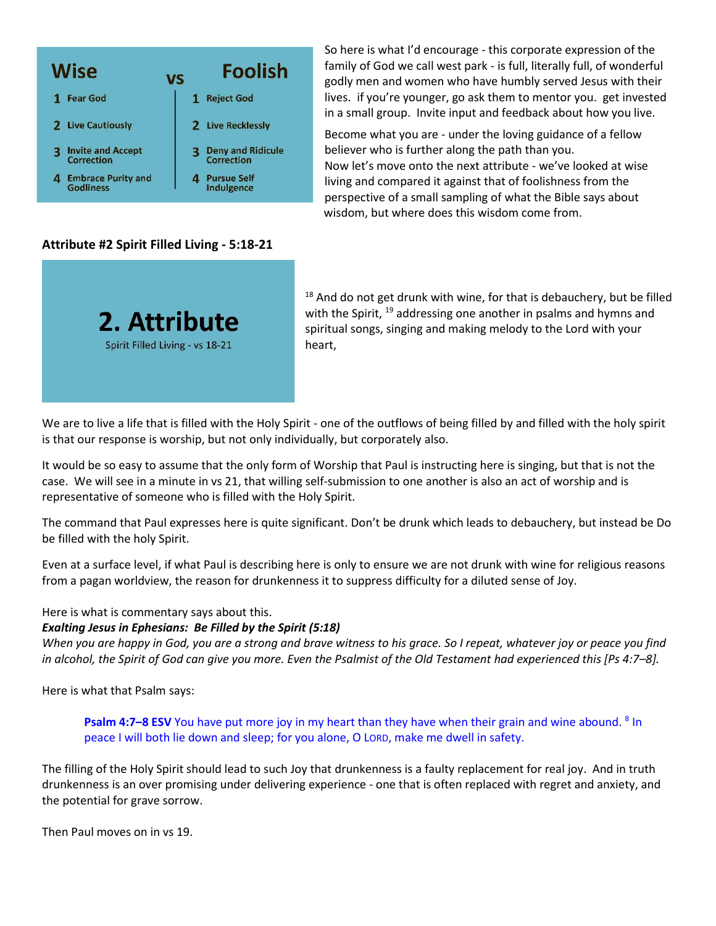

# **Attribute #2 Spirit Filled Living - 5:18-21**



So here is what I'd encourage - this corporate expression of the family of God we call west park - is full, literally full, of wonderful godly men and women who have humbly served Jesus with their lives. if you're younger, go ask them to mentor you. get invested in a small group. Invite input and feedback about how you live.

Become what you are - under the loving guidance of a fellow believer who is further along the path than you. Now let's move onto the next attribute - we've looked at wise living and compared it against that of foolishness from the perspective of a small sampling of what the Bible says about wisdom, but where does this wisdom come from.

 $18$  And do not get drunk with wine, for that is debauchery, but be filled with the Spirit, <sup>19</sup> addressing one another in psalms and hymns and spiritual songs, singing and making melody to the Lord with your heart,

We are to live a life that is filled with the Holy Spirit - one of the outflows of being filled by and filled with the holy spirit is that our response is worship, but not only individually, but corporately also.

It would be so easy to assume that the only form of Worship that Paul is instructing here is singing, but that is not the case. We will see in a minute in vs 21, that willing self-submission to one another is also an act of worship and is representative of someone who is filled with the Holy Spirit.

The command that Paul expresses here is quite significant. Don't be drunk which leads to debauchery, but instead be Do be filled with the holy Spirit.

Even at a surface level, if what Paul is describing here is only to ensure we are not drunk with wine for religious reasons from a pagan worldview, the reason for drunkenness it to suppress difficulty for a diluted sense of Joy.

Here is what is commentary says about this.

#### *Exalting Jesus in Ephesians: Be Filled by the Spirit (5:18)*

*When you are happy in God, you are a strong and brave witness to his grace. So I repeat, whatever joy or peace you find in alcohol, the Spirit of God can give you more. Even the Psalmist of the Old Testament had experienced this [Ps 4:7–8].* 

Here is what that Psalm says:

**Psalm 4:7–8 ESV** You have put more joy in my heart than they have when their grain and wine abound. <sup>8</sup> In peace I will both lie down and sleep; for you alone, O LORD, make me dwell in safety.

The filling of the Holy Spirit should lead to such Joy that drunkenness is a faulty replacement for real joy. And in truth drunkenness is an over promising under delivering experience - one that is often replaced with regret and anxiety, and the potential for grave sorrow.

Then Paul moves on in vs 19.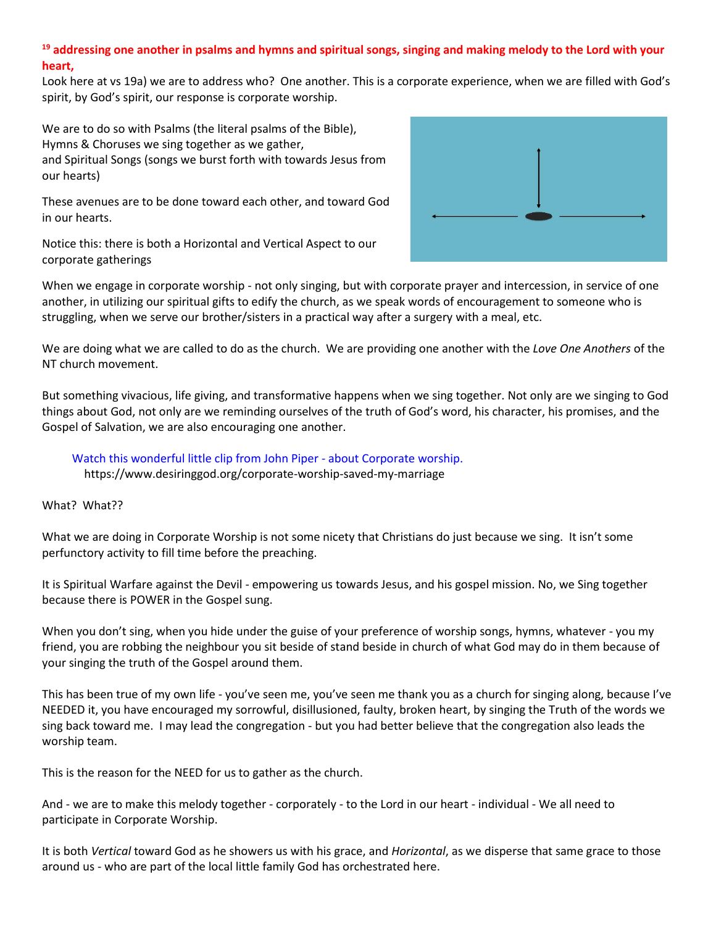# **<sup>19</sup> addressing one another in psalms and hymns and spiritual songs, singing and making melody to the Lord with your heart,**

Look here at vs 19a) we are to address who? One another. This is a corporate experience, when we are filled with God's spirit, by God's spirit, our response is corporate worship.

We are to do so with Psalms (the literal psalms of the Bible), Hymns & Choruses we sing together as we gather, and Spiritual Songs (songs we burst forth with towards Jesus from our hearts)

These avenues are to be done toward each other, and toward God in our hearts.

Notice this: there is both a Horizontal and Vertical Aspect to our corporate gatherings



When we engage in corporate worship - not only singing, but with corporate prayer and intercession, in service of one another, in utilizing our spiritual gifts to edify the church, as we speak words of encouragement to someone who is struggling, when we serve our brother/sisters in a practical way after a surgery with a meal, etc.

We are doing what we are called to do as the church. We are providing one another with the *Love One Anothers* of the NT church movement.

But something vivacious, life giving, and transformative happens when we sing together. Not only are we singing to God things about God, not only are we reminding ourselves of the truth of God's word, his character, his promises, and the Gospel of Salvation, we are also encouraging one another.

 Watch this wonderful little clip from John Piper - about Corporate worship. https://www.desiringgod.org/corporate-worship-saved-my-marriage

What? What??

What we are doing in Corporate Worship is not some nicety that Christians do just because we sing. It isn't some perfunctory activity to fill time before the preaching.

It is Spiritual Warfare against the Devil - empowering us towards Jesus, and his gospel mission. No, we Sing together because there is POWER in the Gospel sung.

When you don't sing, when you hide under the guise of your preference of worship songs, hymns, whatever - you my friend, you are robbing the neighbour you sit beside of stand beside in church of what God may do in them because of your singing the truth of the Gospel around them.

This has been true of my own life - you've seen me, you've seen me thank you as a church for singing along, because I've NEEDED it, you have encouraged my sorrowful, disillusioned, faulty, broken heart, by singing the Truth of the words we sing back toward me. I may lead the congregation - but you had better believe that the congregation also leads the worship team.

This is the reason for the NEED for us to gather as the church.

And - we are to make this melody together - corporately - to the Lord in our heart - individual - We all need to participate in Corporate Worship.

It is both *Vertical* toward God as he showers us with his grace, and *Horizontal*, as we disperse that same grace to those around us - who are part of the local little family God has orchestrated here.